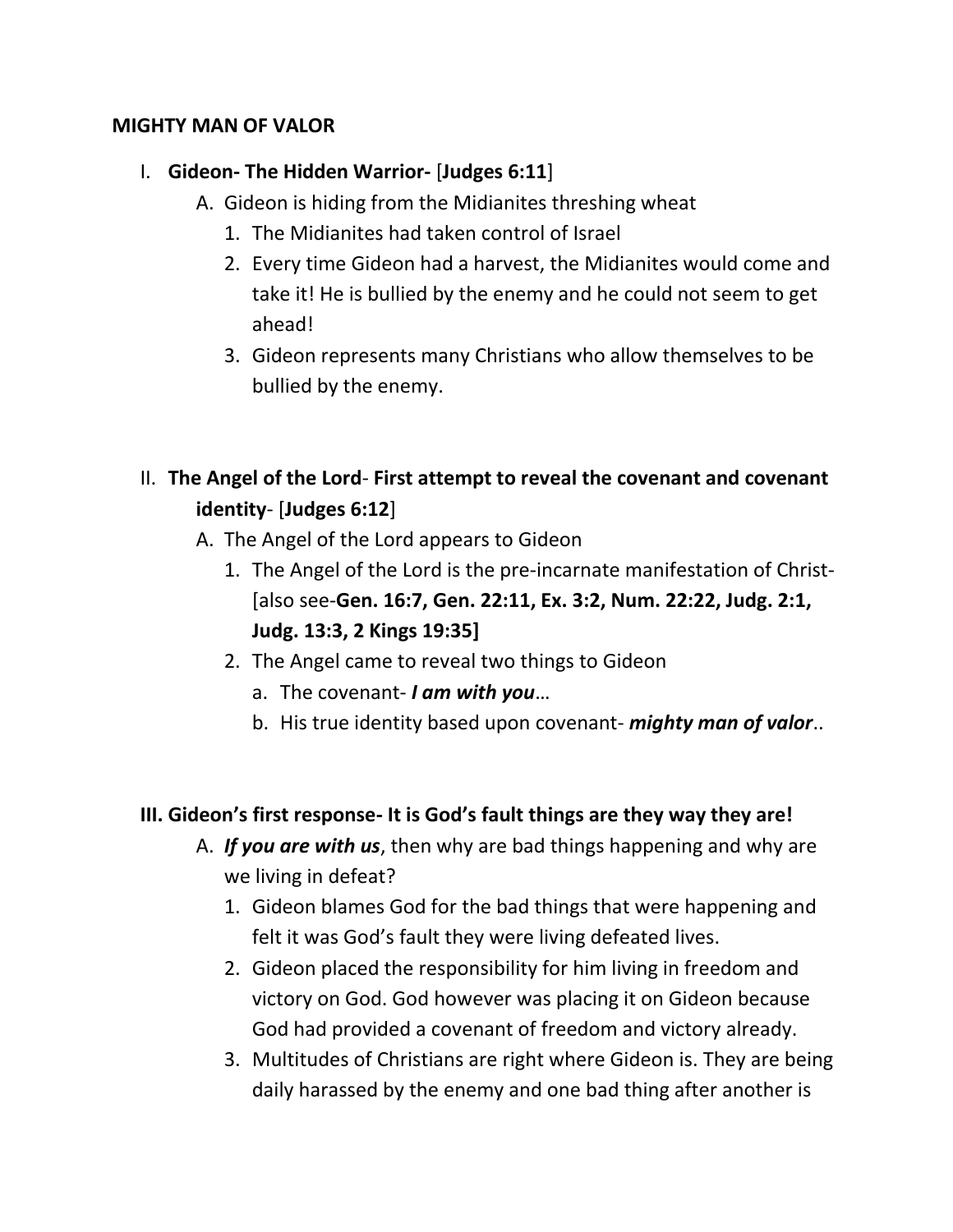#### **MIGHTY MAN OF VALOR**

### I. **Gideon- The Hidden Warrior-** [**Judges 6:11**]

- A. Gideon is hiding from the Midianites threshing wheat
	- 1. The Midianites had taken control of Israel
	- 2. Every time Gideon had a harvest, the Midianites would come and take it! He is bullied by the enemy and he could not seem to get ahead!
	- 3. Gideon represents many Christians who allow themselves to be bullied by the enemy.

## II. **The Angel of the Lord**- **First attempt to reveal the covenant and covenant identity**- [**Judges 6:12**]

- A. The Angel of the Lord appears to Gideon
	- 1. The Angel of the Lord is the pre-incarnate manifestation of Christ- [also see-**Gen. 16:7, Gen. 22:11, Ex. 3:2, Num. 22:22, Judg. 2:1, Judg. 13:3, 2 Kings 19:35]**
	- 2. The Angel came to reveal two things to Gideon
		- a. The covenant- *I am with you*…
		- b. His true identity based upon covenant- *mighty man of valor*..

### **III. Gideon's first response- It is God's fault things are they way they are!**

- A. *If you are with us*, then why are bad things happening and why are we living in defeat?
	- 1. Gideon blames God for the bad things that were happening and felt it was God's fault they were living defeated lives.
	- 2. Gideon placed the responsibility for him living in freedom and victory on God. God however was placing it on Gideon because God had provided a covenant of freedom and victory already.
	- 3. Multitudes of Christians are right where Gideon is. They are being daily harassed by the enemy and one bad thing after another is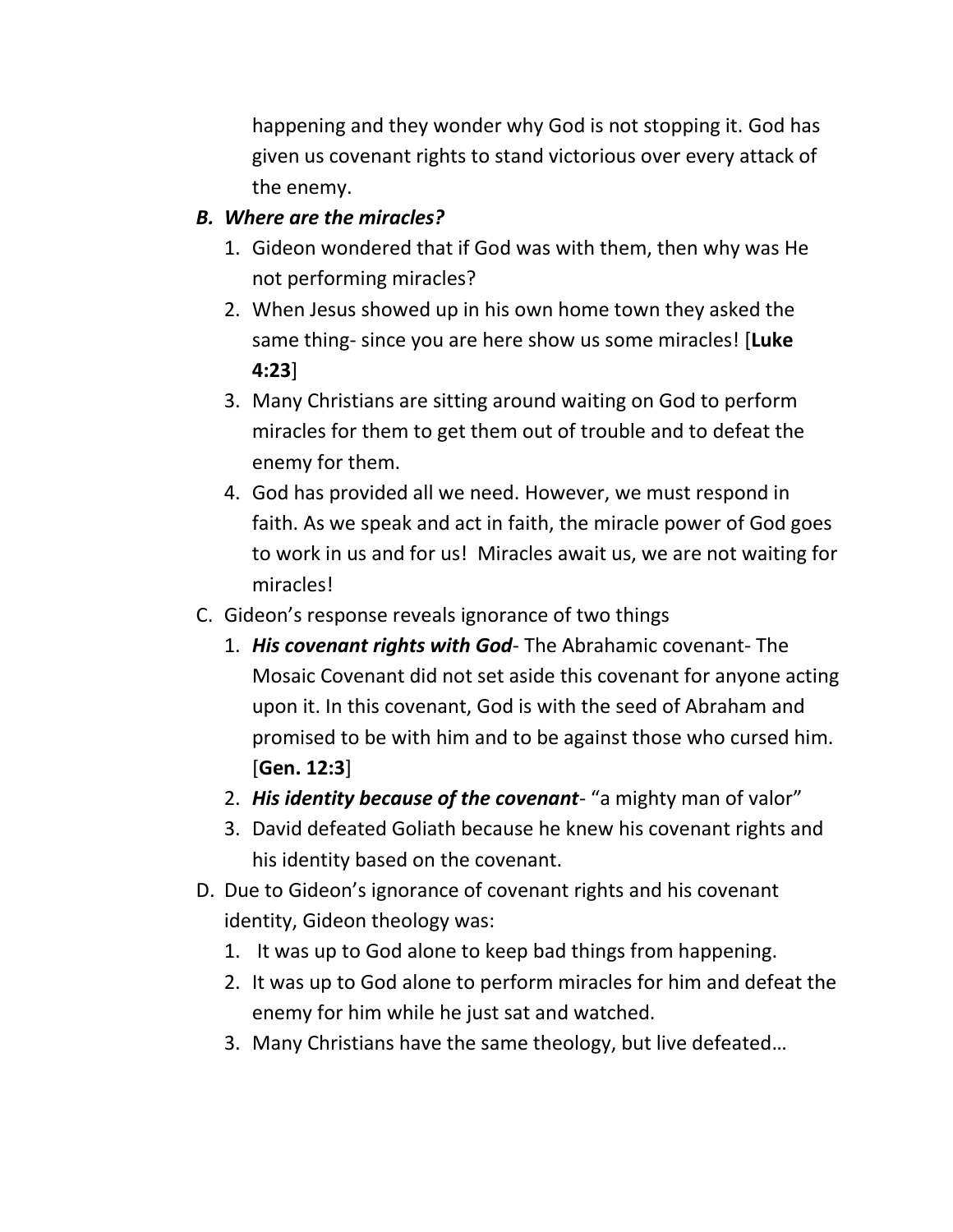happening and they wonder why God is not stopping it. God has given us covenant rights to stand victorious over every attack of the enemy.

## *B. Where are the miracles?*

- 1. Gideon wondered that if God was with them, then why was He not performing miracles?
- 2. When Jesus showed up in his own home town they asked the same thing- since you are here show us some miracles! [**Luke 4:23**]
- 3. Many Christians are sitting around waiting on God to perform miracles for them to get them out of trouble and to defeat the enemy for them.
- 4. God has provided all we need. However, we must respond in faith. As we speak and act in faith, the miracle power of God goes to work in us and for us! Miracles await us, we are not waiting for miracles!
- C. Gideon's response reveals ignorance of two things
	- 1. *His covenant rights with God* The Abrahamic covenant- The Mosaic Covenant did not set aside this covenant for anyone acting upon it. In this covenant, God is with the seed of Abraham and promised to be with him and to be against those who cursed him. [**Gen. 12:3**]
	- 2. *His identity because of the covenant* "a mighty man of valor"
	- 3. David defeated Goliath because he knew his covenant rights and his identity based on the covenant.
- D. Due to Gideon's ignorance of covenant rights and his covenant identity, Gideon theology was:
	- 1. It was up to God alone to keep bad things from happening.
	- 2. It was up to God alone to perform miracles for him and defeat the enemy for him while he just sat and watched.
	- 3. Many Christians have the same theology, but live defeated…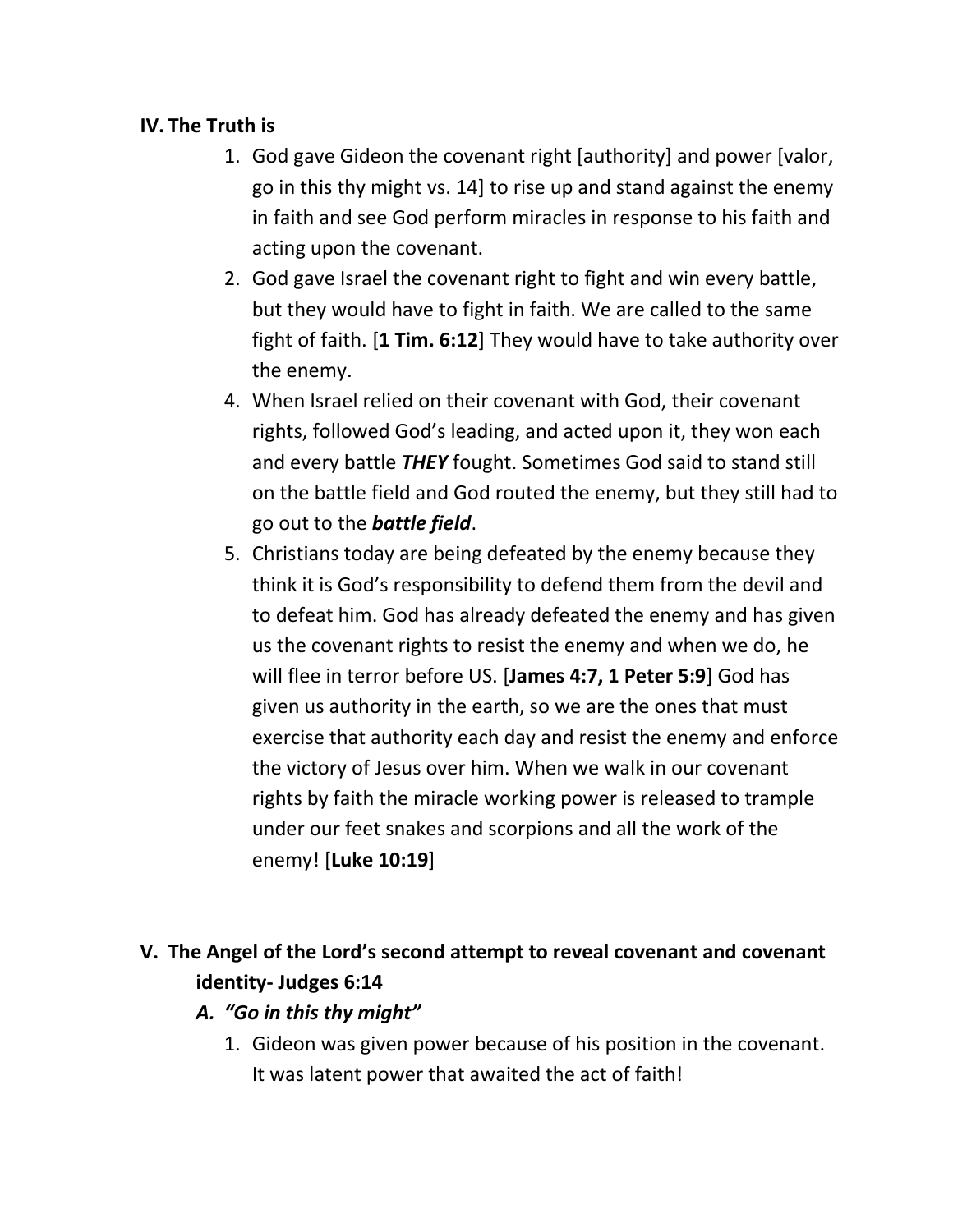## **IV. The Truth is**

- 1. God gave Gideon the covenant right [authority] and power [valor, go in this thy might vs. 14] to rise up and stand against the enemy in faith and see God perform miracles in response to his faith and acting upon the covenant.
- 2. God gave Israel the covenant right to fight and win every battle, but they would have to fight in faith. We are called to the same fight of faith. [**1 Tim. 6:12**] They would have to take authority over the enemy.
- 4. When Israel relied on their covenant with God, their covenant rights, followed God's leading, and acted upon it, they won each and every battle *THEY* fought. Sometimes God said to stand still on the battle field and God routed the enemy, but they still had to go out to the *battle field*.
- 5. Christians today are being defeated by the enemy because they think it is God's responsibility to defend them from the devil and to defeat him. God has already defeated the enemy and has given us the covenant rights to resist the enemy and when we do, he will flee in terror before US. [**James 4:7, 1 Peter 5:9**] God has given us authority in the earth, so we are the ones that must exercise that authority each day and resist the enemy and enforce the victory of Jesus over him. When we walk in our covenant rights by faith the miracle working power is released to trample under our feet snakes and scorpions and all the work of the enemy! [**Luke 10:19**]

# **V. The Angel of the Lord's second attempt to reveal covenant and covenant identity- Judges 6:14**

- *A. "Go in this thy might"*
	- 1. Gideon was given power because of his position in the covenant. It was latent power that awaited the act of faith!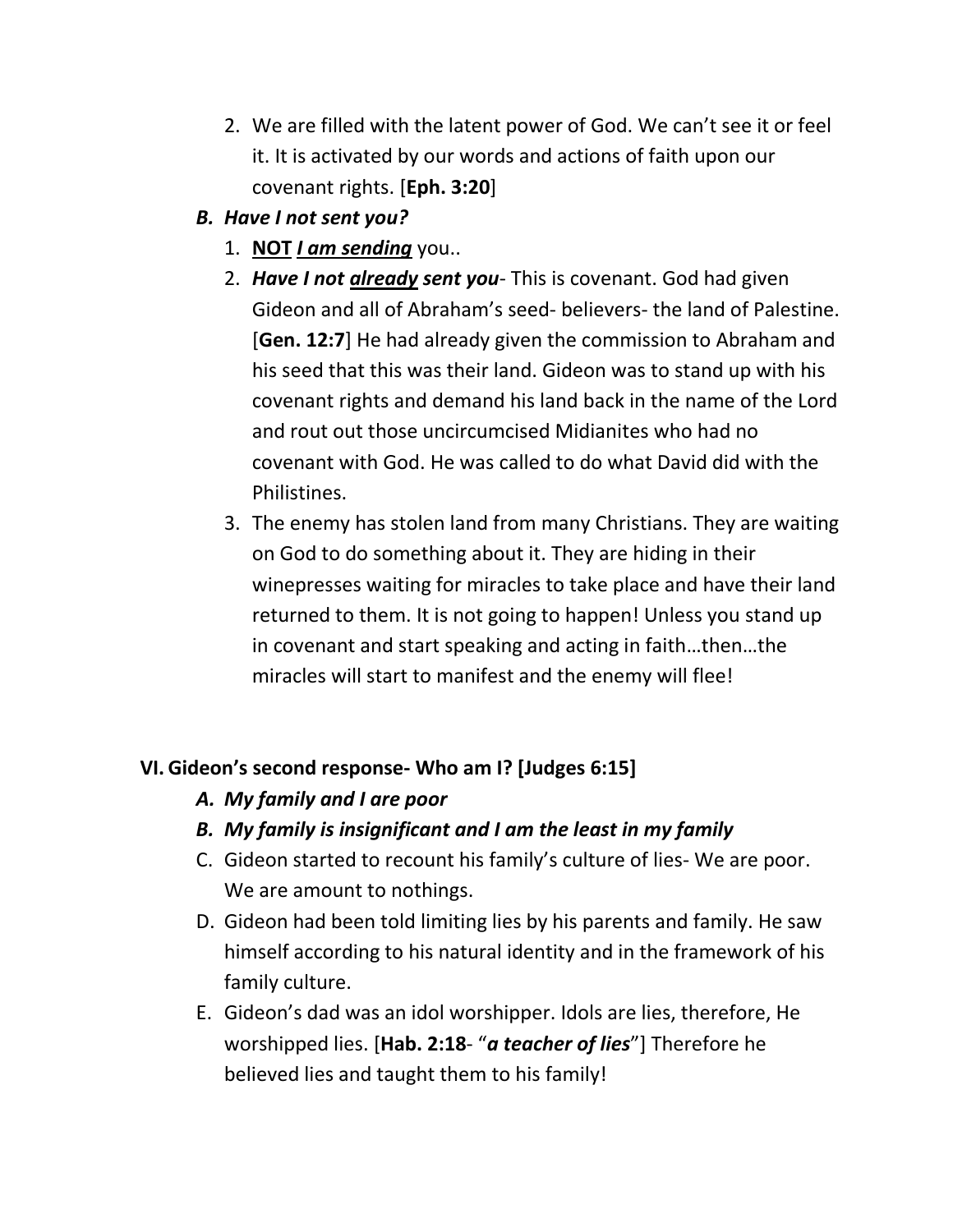- 2. We are filled with the latent power of God. We can't see it or feel it. It is activated by our words and actions of faith upon our covenant rights. [**Eph. 3:20**]
- *B. Have I not sent you?*
	- 1. **NOT** *I am sending* you..
	- 2. *Have I not already sent you* This is covenant. God had given Gideon and all of Abraham's seed- believers- the land of Palestine. [**Gen. 12:7**] He had already given the commission to Abraham and his seed that this was their land. Gideon was to stand up with his covenant rights and demand his land back in the name of the Lord and rout out those uncircumcised Midianites who had no covenant with God. He was called to do what David did with the Philistines.
	- 3. The enemy has stolen land from many Christians. They are waiting on God to do something about it. They are hiding in their winepresses waiting for miracles to take place and have their land returned to them. It is not going to happen! Unless you stand up in covenant and start speaking and acting in faith…then…the miracles will start to manifest and the enemy will flee!

## **VI. Gideon's second response- Who am I? [Judges 6:15]**

- *A. My family and I are poor*
- *B. My family is insignificant and I am the least in my family*
- C. Gideon started to recount his family's culture of lies- We are poor. We are amount to nothings.
- D. Gideon had been told limiting lies by his parents and family. He saw himself according to his natural identity and in the framework of his family culture.
- E. Gideon's dad was an idol worshipper. Idols are lies, therefore, He worshipped lies. [**Hab. 2:18**- "*a teacher of lies*"] Therefore he believed lies and taught them to his family!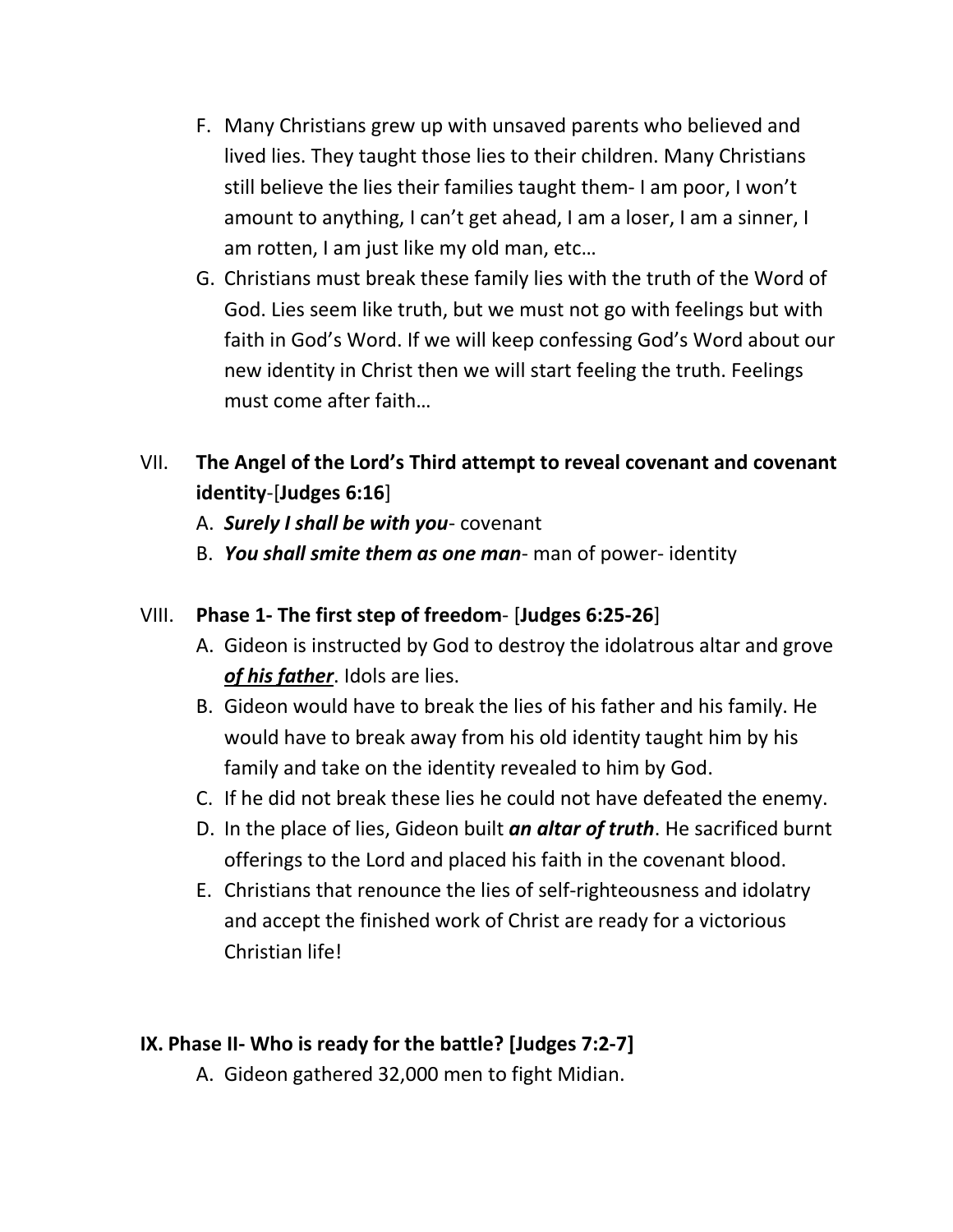- F. Many Christians grew up with unsaved parents who believed and lived lies. They taught those lies to their children. Many Christians still believe the lies their families taught them- I am poor, I won't amount to anything, I can't get ahead, I am a loser, I am a sinner, I am rotten, I am just like my old man, etc…
- G. Christians must break these family lies with the truth of the Word of God. Lies seem like truth, but we must not go with feelings but with faith in God's Word. If we will keep confessing God's Word about our new identity in Christ then we will start feeling the truth. Feelings must come after faith…

# VII. **The Angel of the Lord's Third attempt to reveal covenant and covenant identity**-[**Judges 6:16**]

- A. *Surely I shall be with you* covenant
- B. *You shall smite them as one man* man of power- identity

### VIII. **Phase 1- The first step of freedom**- [**Judges 6:25-26**]

- A. Gideon is instructed by God to destroy the idolatrous altar and grove *of his father*. Idols are lies.
- B. Gideon would have to break the lies of his father and his family. He would have to break away from his old identity taught him by his family and take on the identity revealed to him by God.
- C. If he did not break these lies he could not have defeated the enemy.
- D. In the place of lies, Gideon built *an altar of truth*. He sacrificed burnt offerings to the Lord and placed his faith in the covenant blood.
- E. Christians that renounce the lies of self-righteousness and idolatry and accept the finished work of Christ are ready for a victorious Christian life!

## **IX. Phase II- Who is ready for the battle? [Judges 7:2-7]**

A. Gideon gathered 32,000 men to fight Midian.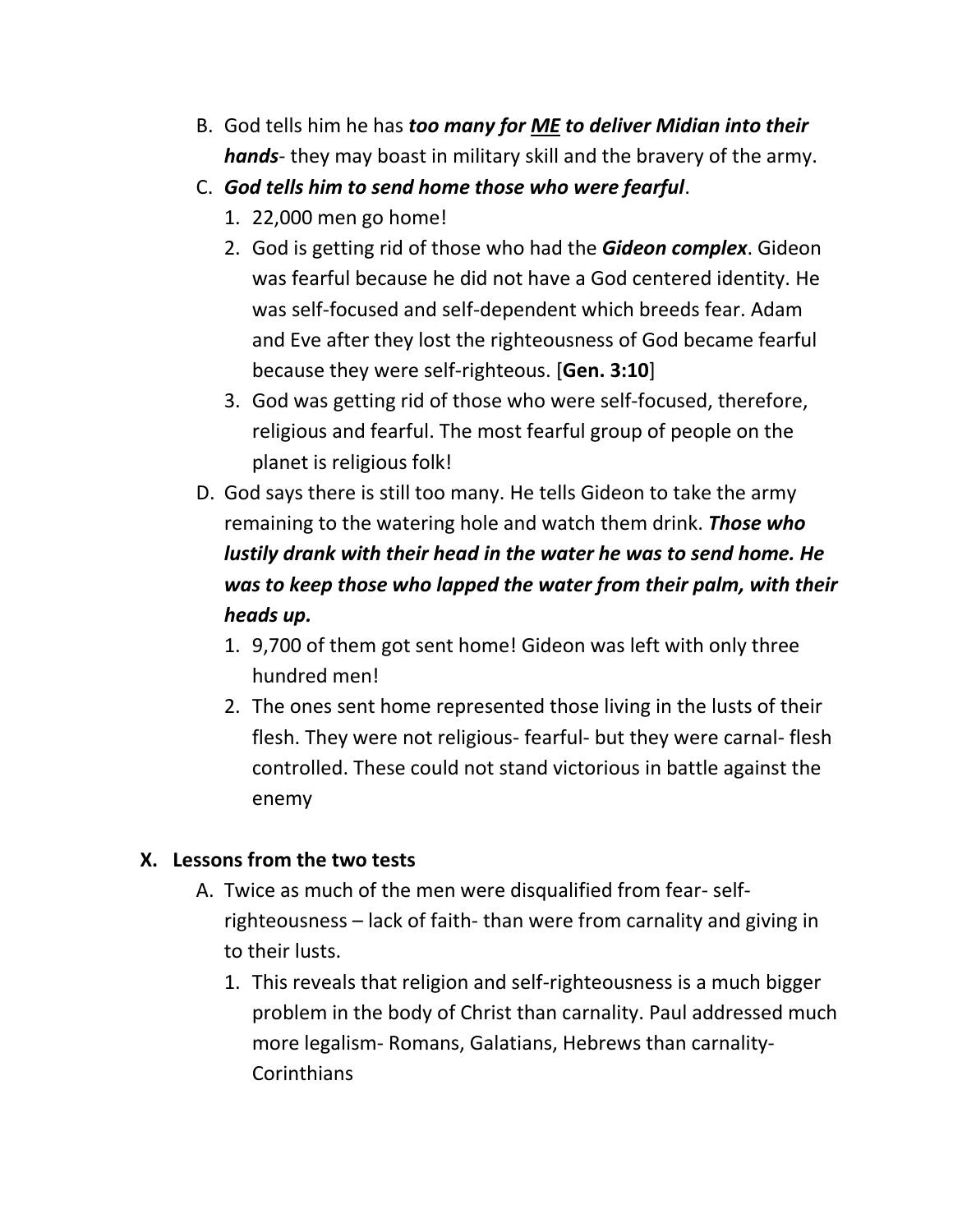- B. God tells him he has *too many for ME to deliver Midian into their hands*- they may boast in military skill and the bravery of the army.
- C. *God tells him to send home those who were fearful*.
	- 1. 22,000 men go home!
	- 2. God is getting rid of those who had the *Gideon complex*. Gideon was fearful because he did not have a God centered identity. He was self-focused and self-dependent which breeds fear. Adam and Eve after they lost the righteousness of God became fearful because they were self-righteous. [**Gen. 3:10**]
	- 3. God was getting rid of those who were self-focused, therefore, religious and fearful. The most fearful group of people on the planet is religious folk!
- D. God says there is still too many. He tells Gideon to take the army remaining to the watering hole and watch them drink. *Those who lustily drank with their head in the water he was to send home. He was to keep those who lapped the water from their palm, with their heads up.* 
	- 1. 9,700 of them got sent home! Gideon was left with only three hundred men!
	- 2. The ones sent home represented those living in the lusts of their flesh. They were not religious- fearful- but they were carnal- flesh controlled. These could not stand victorious in battle against the enemy

## **X. Lessons from the two tests**

- A. Twice as much of the men were disqualified from fear- selfrighteousness – lack of faith- than were from carnality and giving in to their lusts.
	- 1. This reveals that religion and self-righteousness is a much bigger problem in the body of Christ than carnality. Paul addressed much more legalism- Romans, Galatians, Hebrews than carnality-**Corinthians**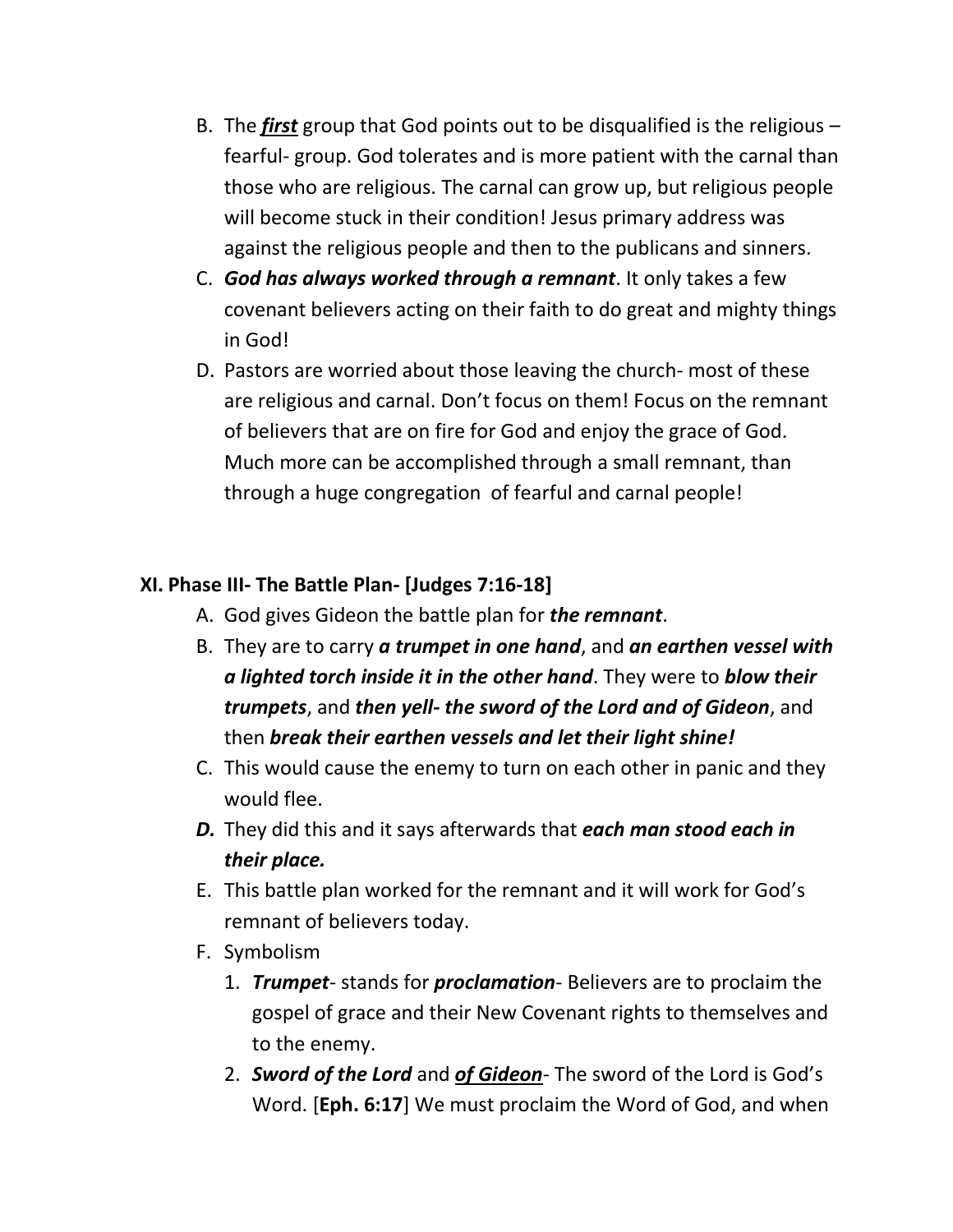- B. The *first* group that God points out to be disqualified is the religious fearful- group. God tolerates and is more patient with the carnal than those who are religious. The carnal can grow up, but religious people will become stuck in their condition! Jesus primary address was against the religious people and then to the publicans and sinners.
- C. *God has always worked through a remnant*. It only takes a few covenant believers acting on their faith to do great and mighty things in God!
- D. Pastors are worried about those leaving the church- most of these are religious and carnal. Don't focus on them! Focus on the remnant of believers that are on fire for God and enjoy the grace of God. Much more can be accomplished through a small remnant, than through a huge congregation of fearful and carnal people!

### **XI. Phase III- The Battle Plan- [Judges 7:16-18]**

- A. God gives Gideon the battle plan for *the remnant*.
- B. They are to carry *a trumpet in one hand*, and *an earthen vessel with a lighted torch inside it in the other hand*. They were to *blow their trumpets*, and *then yell- the sword of the Lord and of Gideon*, and then *break their earthen vessels and let their light shine!*
- C. This would cause the enemy to turn on each other in panic and they would flee.
- *D.* They did this and it says afterwards that *each man stood each in their place.*
- E. This battle plan worked for the remnant and it will work for God's remnant of believers today.
- F. Symbolism
	- 1. *Trumpet* stands for *proclamation* Believers are to proclaim the gospel of grace and their New Covenant rights to themselves and to the enemy.
	- 2. *Sword of the Lord* and *of Gideon* The sword of the Lord is God's Word. [**Eph. 6:17**] We must proclaim the Word of God, and when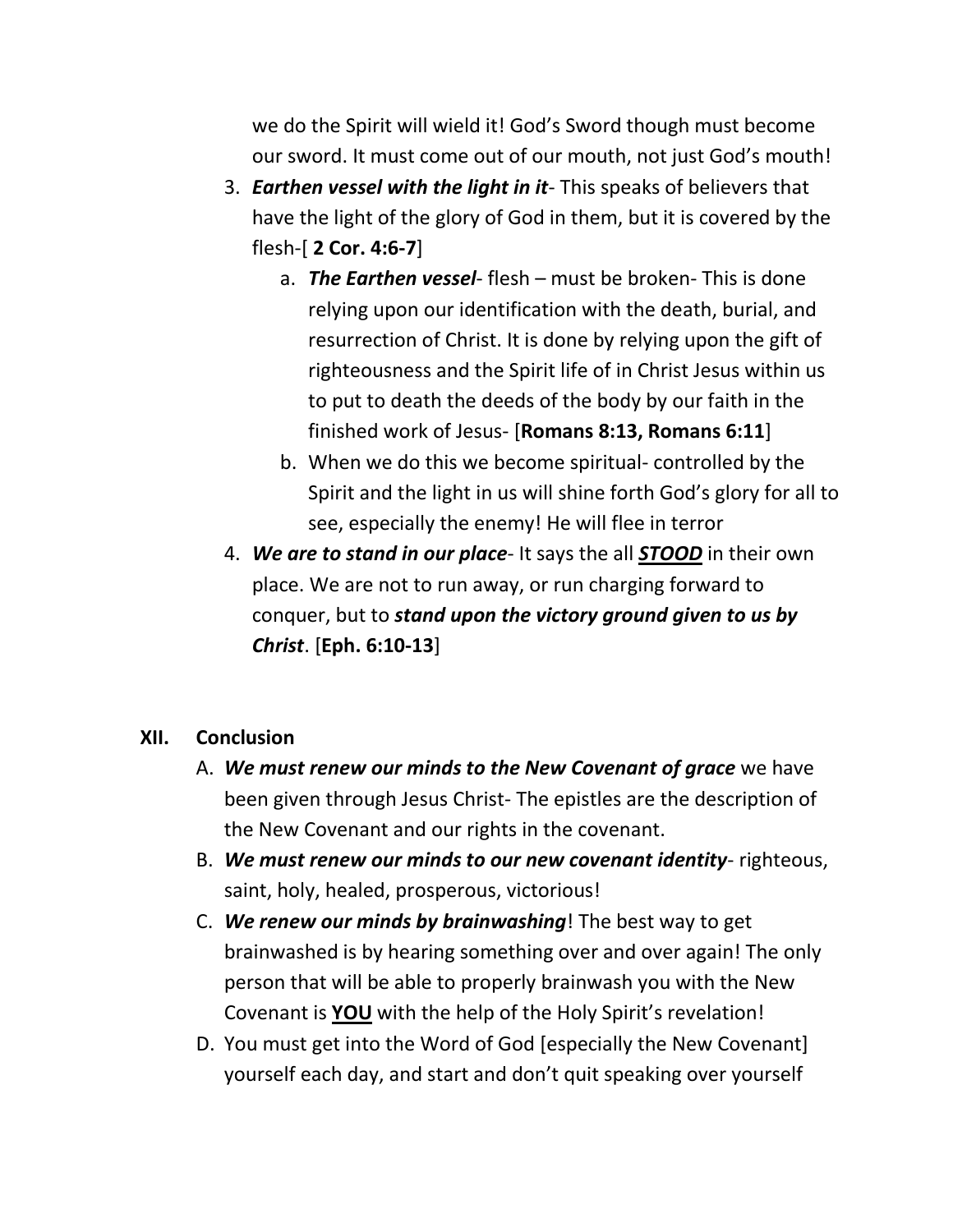we do the Spirit will wield it! God's Sword though must become our sword. It must come out of our mouth, not just God's mouth!

- 3. *Earthen vessel with the light in it* This speaks of believers that have the light of the glory of God in them, but it is covered by the flesh-[ **2 Cor. 4:6-7**]
	- a. *The Earthen vessel* flesh must be broken- This is done relying upon our identification with the death, burial, and resurrection of Christ. It is done by relying upon the gift of righteousness and the Spirit life of in Christ Jesus within us to put to death the deeds of the body by our faith in the finished work of Jesus- [**Romans 8:13, Romans 6:11**]
	- b. When we do this we become spiritual- controlled by the Spirit and the light in us will shine forth God's glory for all to see, especially the enemy! He will flee in terror
- 4. *We are to stand in our place* It says the all *STOOD* in their own place. We are not to run away, or run charging forward to conquer, but to *stand upon the victory ground given to us by Christ*. [**Eph. 6:10-13**]

### **XII. Conclusion**

- A. *We must renew our minds to the New Covenant of grace* we have been given through Jesus Christ- The epistles are the description of the New Covenant and our rights in the covenant.
- B. *We must renew our minds to our new covenant identity* righteous, saint, holy, healed, prosperous, victorious!
- C. *We renew our minds by brainwashing*! The best way to get brainwashed is by hearing something over and over again! The only person that will be able to properly brainwash you with the New Covenant is **YOU** with the help of the Holy Spirit's revelation!
- D. You must get into the Word of God [especially the New Covenant] yourself each day, and start and don't quit speaking over yourself